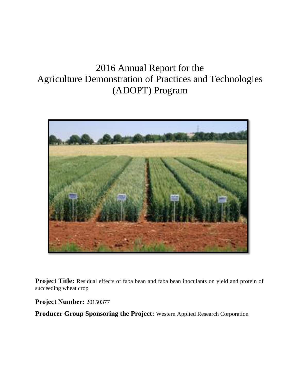# 2016 Annual Report for the Agriculture Demonstration of Practices and Technologies (ADOPT) Program



**Project Title:** Residual effects of faba bean and faba bean inoculants on yield and protein of succeeding wheat crop

**Project Number:** 20150377

**Producer Group Sponsoring the Project:** Western Applied Research Corporation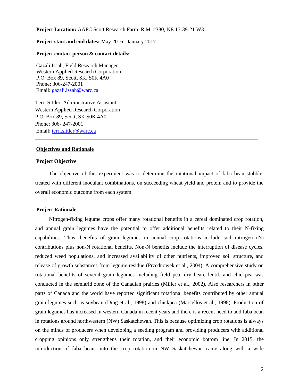**Project Location:** AAFC Scott Research Farm, R.M. #380, NE 17-39-21 W3

## **Project start and end dates:** May 2016 –January 2017

#### **Project contact person & contact details:**

Gazali Issah, Field Research Manager Western Applied Research Corporation P.O. Box 89, Scott, SK, S0K 4A0 Phone: 306-247-2001 Email: [gazali.issah@warc.ca](mailto:gazali.issah@warc.ca)

Terri Sittler, Administrative Assistant Western Applied Research Corporation P.O. Box 89, Scott, SK S0K 4A0 Phone: 306- 247-2001 Email: [terri.sittler@warc.ca](mailto:terri.sittler@warc.ca)

#### **Objectives and Rationale**

# **Project Objective**

The objective of this experiment was to determine the rotational impact of faba bean stubble, treated with different inoculant combinations, on succeeding wheat yield and protein and to provide the overall economic outcome from each system.

\_\_\_\_\_\_\_\_\_\_\_\_\_\_\_\_\_\_\_\_\_\_\_\_\_\_\_\_\_\_\_\_\_\_\_\_\_\_\_\_\_\_\_\_\_\_\_\_\_\_\_\_\_\_\_\_\_\_\_\_\_\_\_\_\_\_\_\_\_\_\_\_\_\_\_\_\_\_\_\_\_\_\_

#### **Project Rationale**

Nitrogen-fixing legume crops offer many rotational benefits in a cereal dominated crop rotation, and annual grain legumes have the potential to offer additional benefits related to their N-fixing capabilities. Thus, benefits of grain legumes in annual crop rotations include soil nitrogen (N) contributions plus non-N rotational benefits. Non-N benefits include the interruption of disease cycles, reduced weed populations, and increased availability of other nutrients, improved soil structure, and release of growth substances from legume residue (Przednowek et al., 2004). A comprehensive study on rotational benefits of several grain legumes including field pea, dry bean, lentil, and chickpea was conducted in the semiarid zone of the Canadian prairies (Miller et al., 2002). Also researchers in other parts of Canada and the world have reported significant rotational benefits contributed by other annual grain legumes such as soybean (Ding et al., 1998) and chickpea (Marcellos et al., 1998). Production of grain legumes has increased in western Canada in recent years and there is a recent need to add faba bean in rotations around northwestern (NW) Saskatchewan. This is because optimizing crop rotations is always on the minds of producers when developing a seeding program and providing producers with additional cropping opinions only strengthens their rotation, and their economic bottom line. In 2015, the introduction of faba beans into the crop rotation in NW Saskatchewan came along with a wide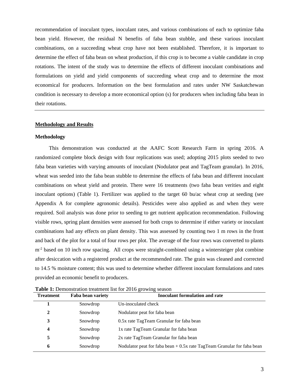recommendation of inoculant types, inoculant rates, and various combinations of each to optimize faba bean yield. However, the residual N benefits of faba bean stubble, and these various inoculant combinations, on a succeeding wheat crop have not been established. Therefore, it is important to determine the effect of faba bean on wheat production, if this crop is to become a viable candidate in crop rotations. The intent of the study was to determine the effects of different inoculant combinations and formulations on yield and yield components of succeeding wheat crop and to determine the most economical for producers. Information on the best formulation and rates under NW Saskatchewan condition is necessary to develop a more economical option (s) for producers when including faba bean in their rotations.

## **Methodology and Results**

## **Methodology**

This demonstration was conducted at the AAFC Scott Research Farm in spring 2016. A randomized complete block design with four replications was used; adopting 2015 plots seeded to two faba bean varieties with varying amounts of inoculant (Nodulator peat and TagTeam granular). In 2016, wheat was seeded into the faba bean stubble to determine the effects of faba bean and different inoculant combinations on wheat yield and protein. There were 16 treatments (two faba bean verities and eight inoculant options) (Table 1). Fertilizer was applied to the target 60 bu/ac wheat crop at seeding (see Appendix A for complete agronomic details). Pesticides were also applied as and when they were required. Soil analysis was done prior to seeding to get nutrient application recommendation. Following visible rows, spring plant densities were assessed for both crops to determine if either variety or inoculant combinations had any effects on plant density. This was assessed by counting two 1 m rows in the front and back of the plot for a total of four rows per plot. The average of the four rows was converted to plants  $m<sup>2</sup>$  based on 10 inch row spacing. All crops were straight-combined using a wintersteiger plot combine after desiccation with a registered product at the recommended rate. The grain was cleaned and corrected to 14.5 % moisture content; this was used to determine whether different inoculant formulations and rates provided an economic benefit to producers.

| <b>Treatment</b> | Faba bean variety | <b>Inoculant formulation and rate</b>                                    |
|------------------|-------------------|--------------------------------------------------------------------------|
|                  | Snowdrop          | Un-inoculated check                                                      |
| $\mathbf{2}$     | Snowdrop          | Nodulator peat for faba bean                                             |
| 3                | Snowdrop          | 0.5x rate TagTeam Granular for faba bean                                 |
| 4                | Snowdrop          | 1x rate TagTeam Granular for faba bean                                   |
| 5                | Snowdrop          | 2x rate TagTeam Granular for faba bean                                   |
| 6                | Snowdrop          | Nodulator peat for faba bean $+0.5x$ rate TagTeam Granular for faba bean |

**Table 1:** Demonstration treatment list for 2016 growing season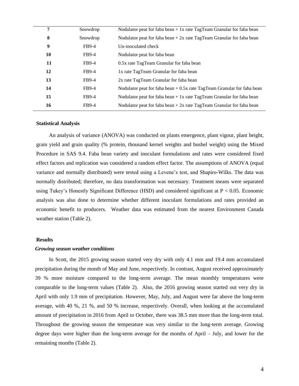| 7  | Snowdrop     | Nodulator peat for faba bean $+1x$ rate TagTeam Granular for faba bean   |
|----|--------------|--------------------------------------------------------------------------|
| 8  | Snowdrop     | Nodulator peat for faba bean $+2x$ rate TagTeam Granular for faba bean   |
| 9  | FB9-4        | Un-inoculated check                                                      |
| 10 | FB9-4        | Nodulator peat for faba bean                                             |
| 11 | FB9-4        | 0.5x rate TagTeam Granular for faba bean                                 |
| 12 | FB9-4        | 1x rate TagTeam Granular for faba bean                                   |
| 13 | FB9-4        | 2x rate TagTeam Granular for faba bean                                   |
| 14 | FB9-4        | Nodulator peat for faba bean $+0.5x$ rate TagTeam Granular for faba bean |
| 15 | FB9-4        | Nodulator peat for faba bean $+1x$ rate TagTeam Granular for faba bean   |
| 16 | <b>FB9-4</b> | Nodulator peat for faba bean $+2x$ rate TagTeam Granular for faba bean   |
|    |              |                                                                          |

## **Statistical Analysis**

An analysis of variance (ANOVA) was conducted on plants emergence, plant vigour, plant height, grain yield and grain quality (% protein, thousand kernel weights and bushel weight) using the Mixed Procedure in SAS 9.4. Faba bean variety and inoculant formulations and rates were considered fixed effect factors and replication was considered a random effect factor. The assumptions of ANOVA (equal variance and normally distributed) were tested using a Levene's test, and Shapiro-Wilks. The data was normally distributed; therefore, no data transformation was necessary. Treatment means were separated using Tukey's Honestly Significant Difference (HSD) and considered significant at P < 0.05. Economic analysis was also done to determine whether different inoculant formulations and rates provided an economic benefit to producers. Weather data was estimated from the nearest Environment Canada weather station (Table 2).

## **Results**

#### *Growing season weather conditions*

In Scott, the 2015 growing season started very dry with only 4.1 mm and 19.4 mm accumulated precipitation during the month of May and June, respectively. In contrast, August received approximately 39 % more moisture compared to the long-term average. The mean monthly temperatures were comparable to the long-term values (Table 2). Also, the 2016 growing season started out very dry in April with only 1.9 mm of precipitation. However, May, July, and August were far above the long-term average, with 40 %, 21 %, and 50 % increase, respectively. Overall, when looking at the accumulated amount of precipitation in 2016 from April to October, there was 38.5 mm more than the long-term total. Throughout the growing season the temperature was very similar to the long-term average. Growing degree days were higher than the long-term average for the months of April – July, and lower for the remaining months (Table 2).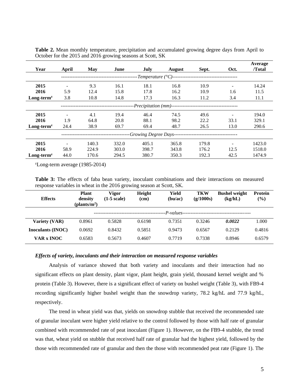|                                                          |       |       |       |                                      |               |       |      | Average |
|----------------------------------------------------------|-------|-------|-------|--------------------------------------|---------------|-------|------|---------|
| Year                                                     | April | May   | June  | July                                 | <b>August</b> | Sept. | Oct. | /Total  |
|                                                          |       |       |       | -Temperature ( $\rm{^{\circ}C}$ )--- |               |       |      |         |
| 2015                                                     |       | 9.3   | 16.1  | 18.1                                 | 16.8          | 10.9  |      | 14.24   |
| 2016                                                     | 5.9   | 12.4  | 15.8  | 17.8                                 | 16.2          | 10.9  | 1.6  | 11.5    |
| $Long-termz$                                             | 3.8   | 10.8  | 14.8  | 17.3                                 | 16.3          | 11.2  | 3.4  | 11.1    |
| - <i>Precipitation</i> (mm)----------------------------- |       |       |       |                                      |               |       |      |         |
| 2015                                                     |       | 4.1   | 19.4  | 46.4                                 | 74.5          | 49.6  |      | 194.0   |
| 2016                                                     | 1.9   | 64.8  | 20.8  | 88.1                                 | 98.2          | 22.2  | 33.1 | 329.1   |
| $Long-termz$                                             | 24.4  | 38.9  | 69.7  | 69.4                                 | 48.7          | 26.5  | 13.0 | 290.6   |
| -Growing Degree Days--                                   |       |       |       |                                      |               |       |      |         |
| 2015                                                     |       | 140.3 | 332.0 | 405.1                                | 365.8         | 179.8 |      | 1423.0  |
| 2016                                                     | 58.9  | 224.9 | 303.0 | 398.7                                | 343.8         | 176.2 | 12.5 | 1518.0  |
| $Long-termz$                                             | 44.0  | 170.6 | 294.5 | 380.7                                | 350.3         | 192.3 | 42.5 | 1474.9  |

**Table 2.** Mean monthly temperature, precipitation and accumulated growing degree days from April to October for the 2015 and 2016 growing seasons at Scott, SK

 $\text{ZLong-term average}$  (1985-2014)

**Table 3:** The effects of faba bean variety, inoculant combinations and their interactions on measured response variables in wheat in the 2016 growing season at Scott, SK.

| <b>Effects</b>           | <b>Plant</b><br>density<br>(plants/m <sup>2</sup> ) | Vigor<br>$(1-5 \text{ scale})$ | Height<br>(cm) | Yield<br>(bu/ac) | <b>TKW</b><br>(g/1000s)                 | <b>Bushel weight</b><br>(kg/hL) | <b>Protein</b><br>$(\%)$ |
|--------------------------|-----------------------------------------------------|--------------------------------|----------------|------------------|-----------------------------------------|---------------------------------|--------------------------|
|                          |                                                     |                                |                |                  | -P-values------------------------------ |                                 |                          |
| Variety (VAR)            | 0.8961                                              | 0.5828                         | 0.6198         | 0.7351           | 0.3246                                  | 0.0022                          | 1.000                    |
| <b>Inoculants (INOC)</b> | 0.0692                                              | 0.8432                         | 0.5851         | 0.9473           | 0.6567                                  | 0.2129                          | 0.4816                   |
| VAR x INOC               | 0.6583                                              | 0.5673                         | 0.4607         | 0.7719           | 0.7338                                  | 0.8946                          | 0.6579                   |

#### *Effects of variety, inoculants and their interaction on measured response variables*

Analysis of variance showed that both variety and inoculants and their interaction had no significant effects on plant density, plant vigor, plant height, grain yield, thousand kernel weight and % protein (Table 3). However, there is a significant effect of variety on bushel weight (Table 3), with FB9-4 recording significantly higher bushel weight than the snowdrop variety, 78.2 kg/hL and 77.9 kg/hL, respectively.

The trend in wheat yield was that, yields on snowdrop stubble that received the recommended rate of granular inoculant were higher yield relative to the control followed by those with half rate of granular combined with recommended rate of peat inoculant (Figure 1). However, on the FB9-4 stubble, the trend was that, wheat yield on stubble that received half rate of granular had the highest yield, followed by the those with recommended rate of granular and then the those with recommended peat rate (Figure 1). The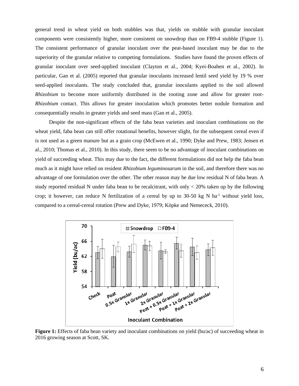general trend in wheat yield on both stubbles was that, yields on stubble with granular inoculant components were consistently higher, more consistent on snowdrop than on FB9-4 stubble (Figure 1). The consistent performance of granular inoculant over the peat-based inoculant may be due to the superiority of the granular relative to competing formulations. Studies have found the proven effects of granular inoculant over seed-applied inoculant (Clayton et al., 2004; Kyei-Boahen et al., 2002). In particular, Gan et al. (2005) reported that granular inoculants increased lentil seed yield by 19 % over seed-applied inoculants. The study concluded that, granular inoculants applied to the soil allowed *Rhizobium* to become more uniformly distributed in the rooting zone and allow for greater root-*Rhizobium* contact. This allows for greater inoculation which promotes better nodule formation and consequentially results in greater yields and seed mass (Gan et al., 2005).

Despite the non-significant effects of the faba bean varieties and inoculant combinations on the wheat yield, faba bean can still offer rotational benefits, however slight, for the subsequent cereal even if is not used as a green manure but as a grain crop (McEwen et al., 1990; Dyke and Prew, 1983; Jensen et al., 2010; Thomas et al., 2010). In this study, there seem to be no advantage of inoculant combinations on yield of succeeding wheat. This may due to the fact, the different formulations did not help the faba bean much as it might have relied on resident *Rhizobium leguminosarum* in the soil, and therefore there was no advantage of one formulation over the other. The other reason may be due low residual N of faba bean. A study reported residual N under faba bean to be recalcitrant, with only  $\lt$  20% taken up by the following crop; it however, can reduce N fertilization of a cereal by up to 30-50 kg N ha<sup>-1</sup> without yield loss, compared to a cereal-cereal rotation (Prew and Dyke, 1979; Köpke and Nemececk, 2010).



**Figure 1:** Effects of faba bean variety and inoculant combinations on yield (bu/ac) of succeeding wheat in 2016 growing season at Scott, SK.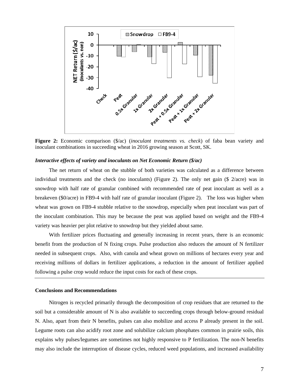

**Figure 2:** Economic comparison (\$/ac) (*inoculant treatments vs. check*) of faba bean variety and inoculant combinations in succeeding wheat in 2016 growing season at Scott, SK.

#### *Interactive effects of variety and inoculants on Net Economic Return (\$/ac)*

The net return of wheat on the stubble of both varieties was calculated as a difference between individual treatments and the check (no inoculants) (Figure 2). The only net gain (\$ 2/acre) was in snowdrop with half rate of granular combined with recommended rate of peat inoculant as well as a breakeven (\$0/acre) in FB9-4 with half rate of granular inoculant (Figure 2). The loss was higher when wheat was grown on FB9-4 stubble relative to the snowdrop, especially when peat inoculant was part of the inoculant combination. This may be because the peat was applied based on weight and the FB9-4 variety was heavier per plot relative to snowdrop but they yielded about same.

With fertilizer prices fluctuating and generally increasing in recent years, there is an economic benefit from the production of N fixing crops. Pulse production also reduces the amount of N fertilizer needed in subsequent crops. Also, with canola and wheat grown on millions of hectares every year and receiving millions of dollars in fertilizer applications, a reduction in the amount of fertilizer applied following a pulse crop would reduce the input costs for each of these crops.

## **Conclusions and Recommendations**

Nitrogen is recycled primarily through the decomposition of crop residues that are returned to the soil but a considerable amount of N is also available to succeeding crops through below-ground residual N. Also, apart from their N benefits, pulses can also mobilize and access P already present in the soil. Legume roots can also acidify root zone and solubilize calcium phosphates common in prairie soils, this explains why pulses/legumes are sometimes not highly responsive to P fertilization. The non-N benefits may also include the interruption of disease cycles, reduced weed populations, and increased availability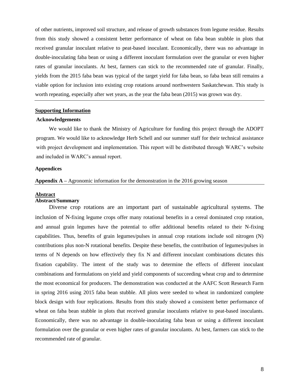of other nutrients, improved soil structure, and release of growth substances from legume residue. Results from this study showed a consistent better performance of wheat on faba bean stubble in plots that received granular inoculant relative to peat-based inoculant. Economically, there was no advantage in double-inoculating faba bean or using a different inoculant formulation over the granular or even higher rates of granular inoculants. At best, farmers can stick to the recommended rate of granular. Finally, yields from the 2015 faba bean was typical of the target yield for faba bean, so faba bean still remains a viable option for inclusion into existing crop rotations around northwestern Saskatchewan. This study is worth repeating, especially after wet years, as the year the faba bean (2015) was grown was dry.

## **Supporting Information**

#### **Acknowledgements**

We would like to thank the Ministry of Agriculture for funding this project through the ADOPT program. We would like to acknowledge Herb Schell and our summer staff for their technical assistance with project development and implementation. This report will be distributed through WARC's website and included in WARC's annual report.

## **Appendices**

#### **Appendix A –** Agronomic information for the demonstration in the 2016 growing season

#### **Abstract**

# **Abstract/Summary**

Diverse crop rotations are an important part of sustainable agricultural systems. The inclusion of N-fixing legume crops offer many rotational benefits in a cereal dominated crop rotation, and annual grain legumes have the potential to offer additional benefits related to their N-fixing capabilities. Thus, benefits of grain legumes/pulses in annual crop rotations include soil nitrogen (N) contributions plus non-N rotational benefits. Despite these benefits, the contribution of legumes/pulses in terms of N depends on how effectively they fix N and different inoculant combinations dictates this fixation capability. The intent of the study was to determine the effects of different inoculant combinations and formulations on yield and yield components of succeeding wheat crop and to determine the most economical for producers. The demonstration was conducted at the AAFC Scott Research Farm in spring 2016 using 2015 faba bean stubble. All plots were seeded to wheat in randomized complete block design with four replications. Results from this study showed a consistent better performance of wheat on faba bean stubble in plots that received granular inoculants relative to peat-based inoculants. Economically, there was no advantage in double-inoculating faba bean or using a different inoculant formulation over the granular or even higher rates of granular inoculants. At best, farmers can stick to the recommended rate of granular.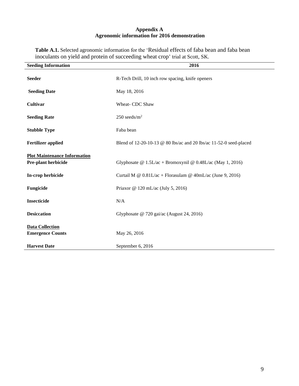# **Appendix A Agronomic information for 2016 demonstration**

**Table A.1.** Selected agronomic information for the 'Residual effects of faba bean and faba bean inoculants on yield and protein of succeeding wheat crop' trial at Scott, SK.

| <b>Seeding Information</b>                                 | 2016                                                               |
|------------------------------------------------------------|--------------------------------------------------------------------|
| <b>Seeder</b>                                              | R-Tech Drill, 10 inch row spacing, knife openers                   |
| <b>Seeding Date</b>                                        | May 18, 2016                                                       |
| Cultivar                                                   | Wheat- CDC Shaw                                                    |
| <b>Seeding Rate</b>                                        | $250$ seeds/m <sup>2</sup>                                         |
| <b>Stubble Type</b>                                        | Faba bean                                                          |
| <b>Fertilizer applied</b>                                  | Blend of 12-20-10-13 @ 80 lbs/ac and 20 lbs/ac 11-52-0 seed-placed |
| <b>Plot Maintenance Information</b><br>Pre-plant herbicide | Glyphosate @ $1.5L/ac + Bromoxynil$ @ 0.48L/ac (May 1, 2016)       |
| In-crop herbicide                                          | Curtail M @ $0.81L/ac$ + Florasulam @ 40mL/ac (June 9, 2016)       |
| Fungicide                                                  | Priaxor @ 120 mL/ac (July 5, 2016)                                 |
| Insecticide                                                | N/A                                                                |
| <b>Desiccation</b>                                         | Glyphosate @ 720 gai/ac (August 24, 2016)                          |
| <b>Data Collection</b><br><b>Emergence Counts</b>          | May 26, 2016                                                       |
| <b>Harvest Date</b>                                        | September 6, 2016                                                  |